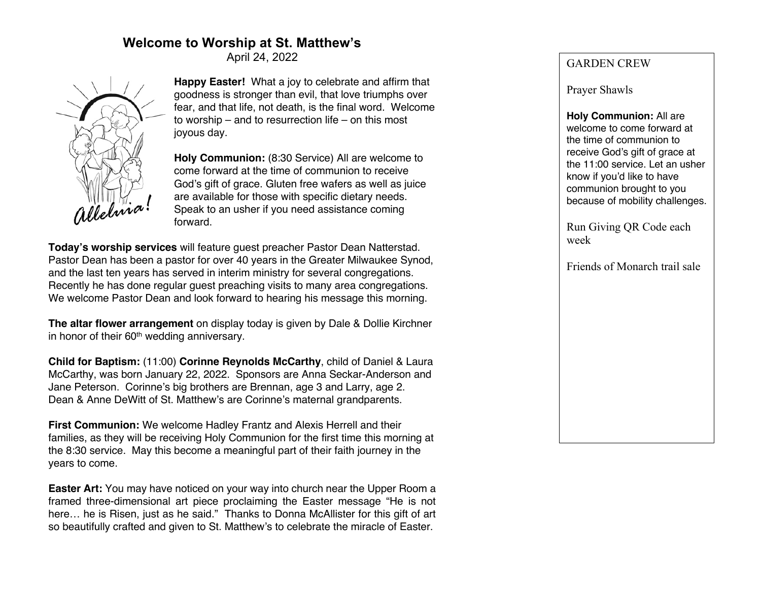# **Welcome to Worship at St. Matthew's**

April 24, 2022



**Happy Easter!** What a joy to celebrate and affirm that goodness is stronger than evil, that love triumphs over fear, and that life, not death, is the final word. Welcome to worship – and to resurrection life – on this most joyous day.

**Holy Communion:** (8:30 Service) All are welcome to come forward at the time of communion to receive God's gift of grace. Gluten free wafers as well as juice are available for those with specific dietary needs. Speak to an usher if you need assistance coming forward.

**Today's worship services** will feature guest preacher Pastor Dean Natterstad. Pastor Dean has been a pastor for over 40 years in the Greater Milwaukee Synod, and the last ten years has served in interim ministry for several congregations. Recently he has done regular guest preaching visits to many area congregations. We welcome Pastor Dean and look forward to hearing his message this morning.

**The altar flower arrangement** on display today is given by Dale & Dollie Kirchner in honor of their 60<sup>th</sup> wedding anniversary.

**Child for Baptism:** (11:00) **Corinne Reynolds McCarthy**, child of Daniel & Laura McCarthy, was born January 22, 2022. Sponsors are Anna Seckar-Anderson and Jane Peterson. Corinne's big brothers are Brennan, age 3 and Larry, age 2. Dean & Anne DeWitt of St. Matthew's are Corinne's maternal grandparents.

**First Communion:** We welcome Hadley Frantz and Alexis Herrell and their families, as they will be receiving Holy Communion for the first time this morning at the 8:30 service. May this become a meaningful part of their faith journey in the years to come.

**Easter Art:** You may have noticed on your way into church near the Upper Room a framed three-dimensional art piece proclaiming the Easter message "He is not here… he is Risen, just as he said." Thanks to Donna McAllister for this gift of art so beautifully crafted and given to St. Matthew's to celebrate the miracle of Easter.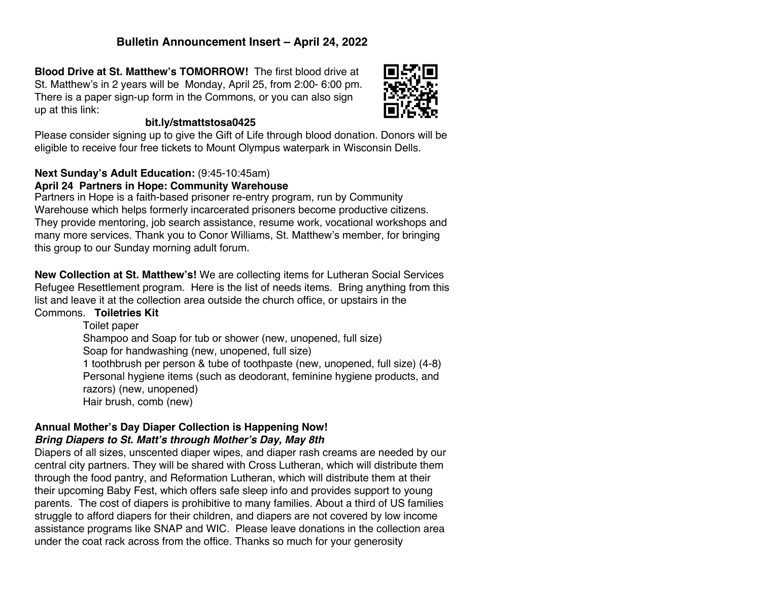## **Bulletin Announcement Insert – April 24, 2022**

**Blood Drive at St. Matthew's TOMORROW!** The first blood drive at St. Matthew's in 2 years will be Monday, April 25, from 2:00- 6:00 pm. There is a paper sign-up form in the Commons, or you can also sign up at this link:



### **bit.ly/stmattstosa0425**

Please consider signing up to give the Gift of Life through blood donation. Donors will be eligible to receive four free tickets to Mount Olympus waterpark in Wisconsin Dells.

## **Next Sunday's Adult Education:** (9:45-10:45am)

## **April 24 Partners in Hope: Community Warehouse**

Partners in Hope is a faith-based prisoner re-entry program, run by Community Warehouse which helps formerly incarcerated prisoners become productive citizens. They provide mentoring, job search assistance, resume work, vocational workshops and many more services. Thank you to Conor Williams, St. Matthew's member, for bringing this group to our Sunday morning adult forum.

**New Collection at St. Matthew's!** We are collecting items for Lutheran Social Services Refugee Resettlement program. Here is the list of needs items. Bring anything from this list and leave it at the collection area outside the church office, or upstairs in the Commons. **Toiletries Kit**

> Toilet paper Shampoo and Soap for tub or shower (new, unopened, full size) Soap for handwashing (new, unopened, full size) 1 toothbrush per person & tube of toothpaste (new, unopened, full size) (4-8) Personal hygiene items (such as deodorant, feminine hygiene products, and razors) (new, unopened) Hair brush, comb (new)

## **Annual Mother's Day Diaper Collection is Happening Now!** *Bring Diapers to St. Matt's through Mother's Day, May 8th*

Diapers of all sizes, unscented diaper wipes, and diaper rash creams are needed by our central city partners. They will be shared with Cross Lutheran, which will distribute them through the food pantry, and Reformation Lutheran, which will distribute them at their their upcoming Baby Fest, which offers safe sleep info and provides support to young parents. The cost of diapers is prohibitive to many families. About a third of US families struggle to afford diapers for their children, and diapers are not covered by low income assistance programs like SNAP and WIC. Please leave donations in the collection area under the coat rack across from the office. Thanks so much for your generosity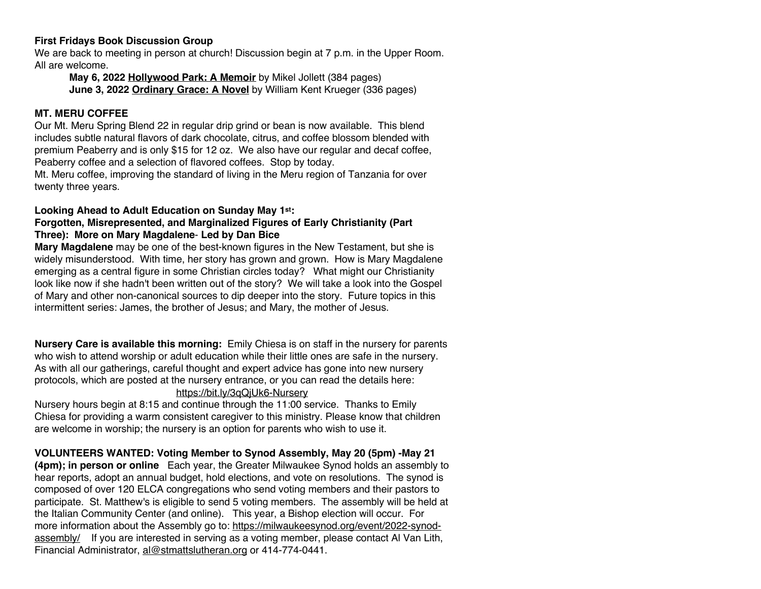#### **First Fridays Book Discussion Group**

We are back to meeting in person at church! Discussion begin at 7 p.m. in the Upper Room. All are welcome.

**May 6, 2022 Hollywood Park: A Memoir** by Mikel Jollett (384 pages) **June 3, 2022 Ordinary Grace: A Novel** by William Kent Krueger (336 pages)

#### **MT. MERU COFFEE**

Our Mt. Meru Spring Blend 22 in regular drip grind or bean is now available. This blend includes subtle natural flavors of dark chocolate, citrus, and coffee blossom blended with premium Peaberry and is only \$15 for 12 oz. We also have our regular and decaf coffee, Peaberry coffee and a selection of flavored coffees. Stop by today.

Mt. Meru coffee, improving the standard of living in the Meru region of Tanzania for over twenty three years.

### **Looking Ahead to Adult Education on Sunday May 1st:**

#### **Forgotten, Misrepresented, and Marginalized Figures of Early Christianity (Part Three): More on Mary Magdalene**- **Led by Dan Bice**

**Mary Magdalene** may be one of the best-known figures in the New Testament, but she is widely misunderstood. With time, her story has grown and grown. How is Mary Magdalene emerging as a central figure in some Christian circles today? What might our Christianity look like now if she hadn't been written out of the story? We will take a look into the Gospel of Mary and other non-canonical sources to dip deeper into the story. Future topics in this intermittent series: James, the brother of Jesus; and Mary, the mother of Jesus.

**Nursery Care is available this morning:** Emily Chiesa is on staff in the nursery for parents who wish to attend worship or adult education while their little ones are safe in the nursery. As with all our gatherings, careful thought and expert advice has gone into new nursery protocols, which are posted at the nursery entrance, or you can read the details here: https://bit.ly/3qQjUk6-Nursery

Nursery hours begin at 8:15 and continue through the 11:00 service. Thanks to Emily Chiesa for providing a warm consistent caregiver to this ministry. Please know that children are welcome in worship; the nursery is an option for parents who wish to use it.

### **VOLUNTEERS WANTED: Voting Member to Synod Assembly, May 20 (5pm) -May 21**

**(4pm); in person or online** Each year, the Greater Milwaukee Synod holds an assembly to hear reports, adopt an annual budget, hold elections, and vote on resolutions. The synod is composed of over 120 ELCA congregations who send voting members and their pastors to participate. St. Matthew's is eligible to send 5 voting members. The assembly will be held at the Italian Community Center (and online). This year, a Bishop election will occur. For more information about the Assembly go to: https://milwaukeesynod.org/event/2022-synodassembly/ If you are interested in serving as a voting member, please contact Al Van Lith, Financial Administrator, al@stmattslutheran.org or 414-774-0441.